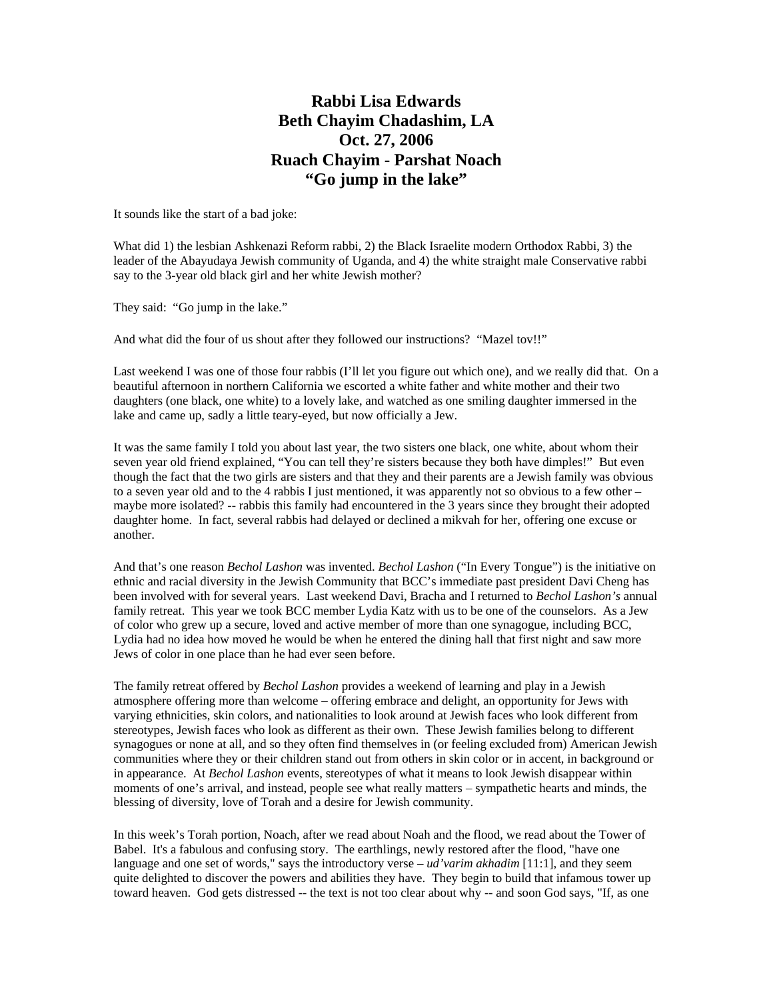## **Rabbi Lisa Edwards Beth Chayim Chadashim, LA Oct. 27, 2006 Ruach Chayim - Parshat Noach "Go jump in the lake"**

It sounds like the start of a bad joke:

What did 1) the lesbian Ashkenazi Reform rabbi, 2) the Black Israelite modern Orthodox Rabbi, 3) the leader of the Abayudaya Jewish community of Uganda, and 4) the white straight male Conservative rabbi say to the 3-year old black girl and her white Jewish mother?

They said: "Go jump in the lake."

And what did the four of us shout after they followed our instructions? "Mazel tov!!"

Last weekend I was one of those four rabbis (I'll let you figure out which one), and we really did that. On a beautiful afternoon in northern California we escorted a white father and white mother and their two daughters (one black, one white) to a lovely lake, and watched as one smiling daughter immersed in the lake and came up, sadly a little teary-eyed, but now officially a Jew.

It was the same family I told you about last year, the two sisters one black, one white, about whom their seven year old friend explained, "You can tell they're sisters because they both have dimples!" But even though the fact that the two girls are sisters and that they and their parents are a Jewish family was obvious to a seven year old and to the 4 rabbis I just mentioned, it was apparently not so obvious to a few other – maybe more isolated? -- rabbis this family had encountered in the 3 years since they brought their adopted daughter home. In fact, several rabbis had delayed or declined a mikvah for her, offering one excuse or another.

And that's one reason *Bechol Lashon* was invented. *Bechol Lashon* ("In Every Tongue") is the initiative on ethnic and racial diversity in the Jewish Community that BCC's immediate past president Davi Cheng has been involved with for several years. Last weekend Davi, Bracha and I returned to *Bechol Lashon's* annual family retreat. This year we took BCC member Lydia Katz with us to be one of the counselors. As a Jew of color who grew up a secure, loved and active member of more than one synagogue, including BCC, Lydia had no idea how moved he would be when he entered the dining hall that first night and saw more Jews of color in one place than he had ever seen before.

The family retreat offered by *Bechol Lashon* provides a weekend of learning and play in a Jewish atmosphere offering more than welcome – offering embrace and delight, an opportunity for Jews with varying ethnicities, skin colors, and nationalities to look around at Jewish faces who look different from stereotypes, Jewish faces who look as different as their own. These Jewish families belong to different synagogues or none at all, and so they often find themselves in (or feeling excluded from) American Jewish communities where they or their children stand out from others in skin color or in accent, in background or in appearance. At *Bechol Lashon* events, stereotypes of what it means to look Jewish disappear within moments of one's arrival, and instead, people see what really matters – sympathetic hearts and minds, the blessing of diversity, love of Torah and a desire for Jewish community.

In this week's Torah portion, Noach, after we read about Noah and the flood, we read about the Tower of Babel. It's a fabulous and confusing story. The earthlings, newly restored after the flood, "have one language and one set of words," says the introductory verse – *ud'varim akhadim* [11:1], and they seem quite delighted to discover the powers and abilities they have. They begin to build that infamous tower up toward heaven. God gets distressed -- the text is not too clear about why -- and soon God says, "If, as one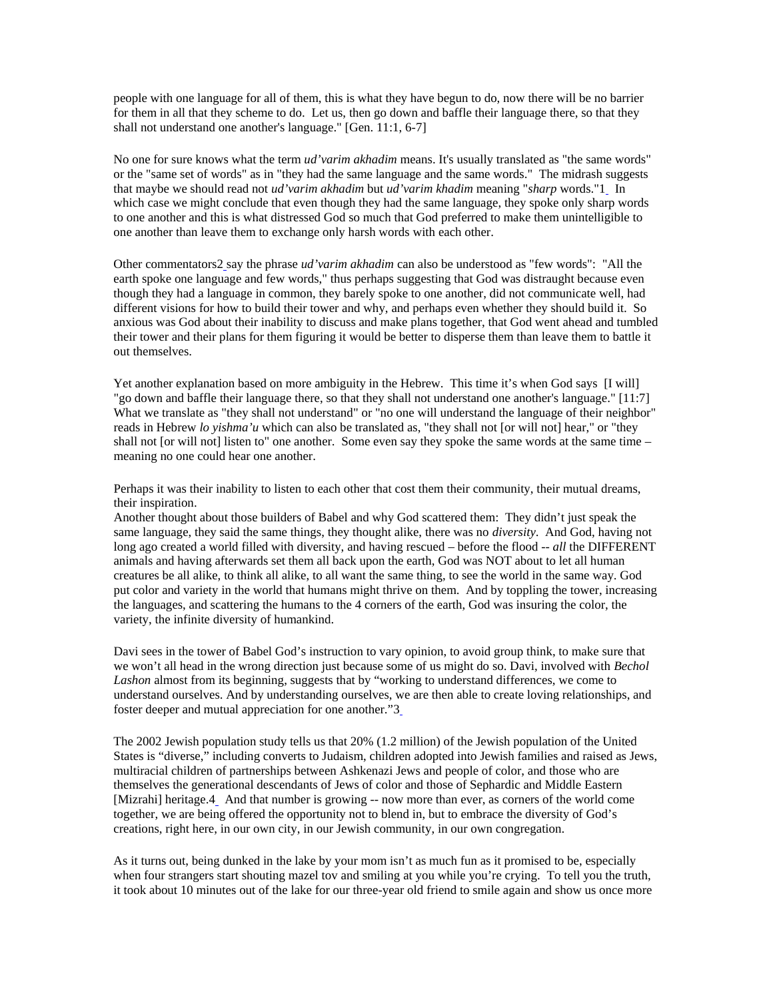people with one language for all of them, this is what they have begun to do, now there will be no barrier for them in all that they scheme to do. Let us, then go down and baffle their language there, so that they shall not understand one another's language." [Gen. 11:1, 6-7]

No one for sure knows what the term *ud'varim akhadim* means. It's usually translated as "the same words" or the "same set of words" as in "they had the same language and the same words." The midrash suggests that maybe we should read not *ud'varim akhadim* but *ud'varim khadim* meaning "*sharp* words."[1](http://www.bcc-la.org/drashot/drash102706.html#_ftn1) In which case we might conclude that even though they had the same language, they spoke only sharp words to one another and this is what distressed God so much that God preferred to make them unintelligible to one another than leave them to exchange only harsh words with each other.

Other commentators2 [s](http://www.bcc-la.org/drashot/drash102706.html#_ftn2)ay the phrase *ud'varim akhadim* can also be understood as "few words": "All the earth spoke one language and few words," thus perhaps suggesting that God was distraught because even though they had a language in common, they barely spoke to one another, did not communicate well, had different visions for how to build their tower and why, and perhaps even whether they should build it. So anxious was God about their inability to discuss and make plans together, that God went ahead and tumbled their tower and their plans for them figuring it would be better to disperse them than leave them to battle it out themselves.

Yet another explanation based on more ambiguity in the Hebrew. This time it's when God says [I will] "go down and baffle their language there, so that they shall not understand one another's language." [11:7] What we translate as "they shall not understand" or "no one will understand the language of their neighbor" reads in Hebrew *lo yishma'u* which can also be translated as, "they shall not [or will not] hear," or "they shall not [or will not] listen to" one another. Some even say they spoke the same words at the same time – meaning no one could hear one another.

Perhaps it was their inability to listen to each other that cost them their community, their mutual dreams, their inspiration.

Another thought about those builders of Babel and why God scattered them: They didn't just speak the same language, they said the same things, they thought alike, there was no *diversity*. And God, having not long ago created a world filled with diversity, and having rescued – before the flood -- *all* the DIFFERENT animals and having afterwards set them all back upon the earth, God was NOT about to let all human creatures be all alike, to think all alike, to all want the same thing, to see the world in the same way. God put color and variety in the world that humans might thrive on them. And by toppling the tower, increasing the languages, and scattering the humans to the 4 corners of the earth, God was insuring the color, the variety, the infinite diversity of humankind.

Davi sees in the tower of Babel God's instruction to vary opinion, to avoid group think, to make sure that we won't all head in the wrong direction just because some of us might do so. Davi, involved with *Bechol Lashon* almost from its beginning, suggests that by "working to understand differences, we come to understand ourselves. And by understanding ourselves, we are then able to create loving relationships, and foster deeper and mutual appreciation for one another."[3](http://www.bcc-la.org/drashot/drash102706.html#_ftn3)

The 2002 Jewish population study tells us that 20% (1.2 million) of the Jewish population of the United States is "diverse," including converts to Judaism, children adopted into Jewish families and raised as Jews, multiracial children of partnerships between Ashkenazi Jews and people of color, and those who are themselves the generational descendants of Jews of color and those of Sephardic and Middle Eastern [Mizrahi] heritage.[4](http://www.bcc-la.org/drashot/drash102706.html#_ftn4) And that number is growing -- now more than ever, as corners of the world come together, we are being offered the opportunity not to blend in, but to embrace the diversity of God's creations, right here, in our own city, in our Jewish community, in our own congregation.

As it turns out, being dunked in the lake by your mom isn't as much fun as it promised to be, especially when four strangers start shouting mazel tov and smiling at you while you're crying. To tell you the truth, it took about 10 minutes out of the lake for our three-year old friend to smile again and show us once more